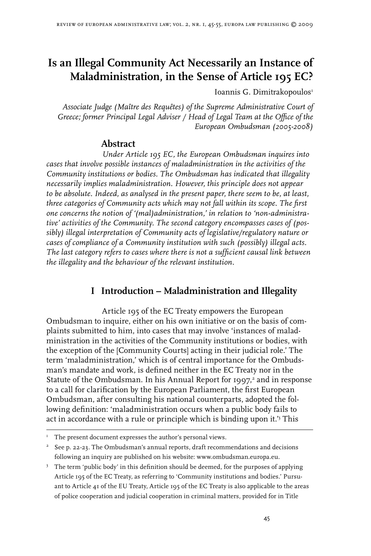# **Is an Illegal Community Act Necessarily an Instance of Maladministration, in the Sense of Article 195 EC?**

Ioannis G. Dimitrakopoulos

*Associate Judge (Maître des Requêtes) of the Supreme Administrative Court of Greece; former Principal Legal Adviser / Head of Legal Team at the Office of the European Ombudsman (2005-2008)* 

## **Abstract**

*Under Article 195 EC, the European Ombudsman inquires into cases that involve possible instances of maladministration in the activities of the Community institutions or bodies. The Ombudsman has indicated that illegality necessarily implies maladministration. However, this principle does not appear to be absolute. Indeed, as analysed in the present paper, there seem to be, at least, three categories of Community acts which may not fall within its scope. The first one concerns the notion of '(mal)administration,' in relation to 'non-administrative' activities of the Community. The second category encompasses cases of (possibly) illegal interpretation of Community acts of legislative/regulatory nature or cases of compliance of a Community institution with such (possibly) illegal acts. The last category refers to cases where there is not a sufficient causal link between the illegality and the behaviour of the relevant institution.*

# **I Introduction – Maladministration and Illegality**

Article 195 of the EC Treaty empowers the European Ombudsman to inquire, either on his own initiative or on the basis of complaints submitted to him, into cases that may involve 'instances of maladministration in the activities of the Community institutions or bodies, with the exception of the [Community Courts] acting in their judicial role.' The term 'maladministration,' which is of central importance for the Ombudsman's mandate and work, is defined neither in the EC Treaty nor in the Statute of the Ombudsman. In his Annual Report for 1997, and in response to a call for clarification by the European Parliament, the first European Ombudsman, after consulting his national counterparts, adopted the following definition: 'maladministration occurs when a public body fails to act in accordance with a rule or principle which is binding upon it.' This

 $T$  The present document expresses the author's personal views.

 $2^2$  See p. 22-23. The Ombudsman's annual reports, draft recommendations and decisions following an inquiry are published on his website: www.ombudsman.europa.eu.

 $3$  The term 'public body' in this definition should be deemed, for the purposes of applying Article 195 of the EC Treaty, as referring to 'Community institutions and bodies.' Pursuant to Article 41 of the EU Treaty, Article 195 of the EC Treaty is also applicable to the areas of police cooperation and judicial cooperation in criminal matters, provided for in Title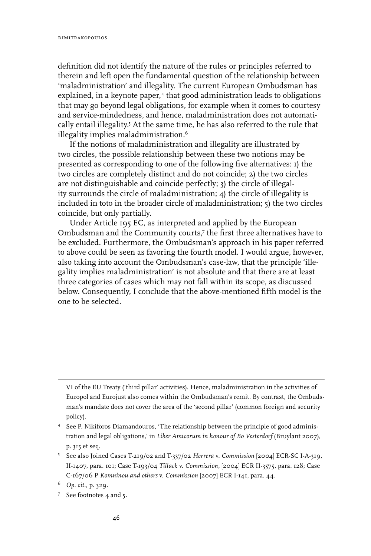definition did not identify the nature of the rules or principles referred to therein and left open the fundamental question of the relationship between 'maladministration' and illegality. The current European Ombudsman has explained, in a keynote paper,<sup>4</sup> that good administration leads to obligations that may go beyond legal obligations, for example when it comes to courtesy and service-mindedness, and hence, maladministration does not automatically entail illegality. At the same time, he has also referred to the rule that illegality implies maladministration.

If the notions of maladministration and illegality are illustrated by two circles, the possible relationship between these two notions may be presented as corresponding to one of the following five alternatives: 1) the two circles are completely distinct and do not coincide; 2) the two circles are not distinguishable and coincide perfectly; 3) the circle of illegality surrounds the circle of maladministration; 4) the circle of illegality is included in toto in the broader circle of maladministration; 5) the two circles coincide, but only partially.

Under Article 195 EC, as interpreted and applied by the European Ombudsman and the Community courts,<sup>7</sup> the first three alternatives have to be excluded. Furthermore, the Ombudsman's approach in his paper referred to above could be seen as favoring the fourth model. I would argue, however, also taking into account the Ombudsman's case-law, that the principle 'illegality implies maladministration' is not absolute and that there are at least three categories of cases which may not fall within its scope, as discussed below. Consequently, I conclude that the above-mentioned fifth model is the one to be selected.

VI of the EU Treaty ('third pillar' activities). Hence, maladministration in the activities of Europol and Eurojust also comes within the Ombudsman's remit. By contrast, the Ombudsman's mandate does not cover the area of the 'second pillar' (common foreign and security policy).

See P. Nikiforos Diamandouros, 'The relationship between the principle of good administration and legal obligations,' in *Liber Amicorum in honour of Bo Vesterdorf* (Bruylant 2007), p. 315 et seq.

See also Joined Cases T-219/02 and T-337/02 *Herrera* v. *Commission* [2004] ECR-SC I-A-319, II-1407, para. 101; Case T-193/04 *Tillack* v. *Commission*, [2004] ECR II-3575, para. 128; Case C-167/06 P *Komninou and others* v. *Commission* [2007] ECR I-141, para. 44.

*Op. cit.*, p. 329.

See footnotes 4 and 5.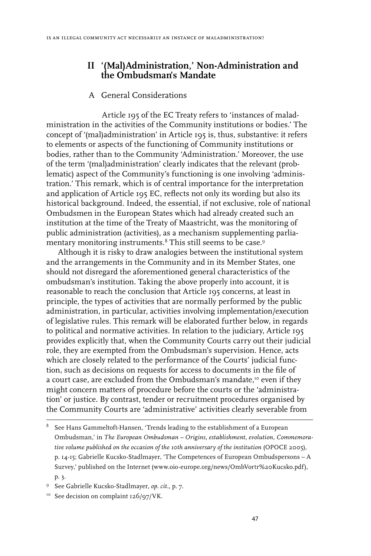#### **II '(Mal)Administration,' Non-Administration and the Ombudsman's Mandate**

#### A General Considerations

Article 195 of the EC Treaty refers to 'instances of maladministration in the activities of the Community institutions or bodies.' The concept of '(mal)administration' in Article 195 is, thus, substantive: it refers to elements or aspects of the functioning of Community institutions or bodies, rather than to the Community 'Administration.' Moreover, the use of the term '(mal)administration' clearly indicates that the relevant (problematic) aspect of the Community's functioning is one involving 'administration.' This remark, which is of central importance for the interpretation and application of Article 195 EC, reflects not only its wording but also its historical background. Indeed, the essential, if not exclusive, role of national Ombudsmen in the European States which had already created such an institution at the time of the Treaty of Maastricht, was the monitoring of public administration (activities), as a mechanism supplementing parliamentary monitoring instruments.<sup>8</sup> This still seems to be case.<sup>9</sup>

Although it is risky to draw analogies between the institutional system and the arrangements in the Community and in its Member States, one should not disregard the aforementioned general characteristics of the ombudsman's institution. Taking the above properly into account, it is reasonable to reach the conclusion that Article 195 concerns, at least in principle, the types of activities that are normally performed by the public administration, in particular, activities involving implementation/execution of legislative rules. This remark will be elaborated further below, in regards to political and normative activities. In relation to the judiciary, Article 195 provides explicitly that, when the Community Courts carry out their judicial role, they are exempted from the Ombudsman's supervision. Hence, acts which are closely related to the performance of the Courts' judicial function, such as decisions on requests for access to documents in the file of a court case, are excluded from the Ombudsman's mandate,<sup>10</sup> even if they might concern matters of procedure before the courts or the 'administration' or justice. By contrast, tender or recruitment procedures organised by the Community Courts are 'administrative' activities clearly severable from

 $8$  See Hans Gammeltoft-Hansen, 'Trends leading to the establishment of a European Ombudsman,' in *The European Ombudsman – Origins, establishment, evolution, Commemorative volume published on the occasion of the 10th anniversary of the institution* (OPOCE 2005), p. 14-15; Gabrielle Kucsko-Stadlmayer, 'The Competences of European Ombudspersons – A Survey,' published on the Internet (www.oio-europe.org/news/OmbVortr%20Kucsko.pdf), p. 3.

See Gabrielle Kucsko-Stadlmayer, *op. cit*., p. 7.

<sup>&</sup>lt;sup>10</sup> See decision on complaint 126/97/VK.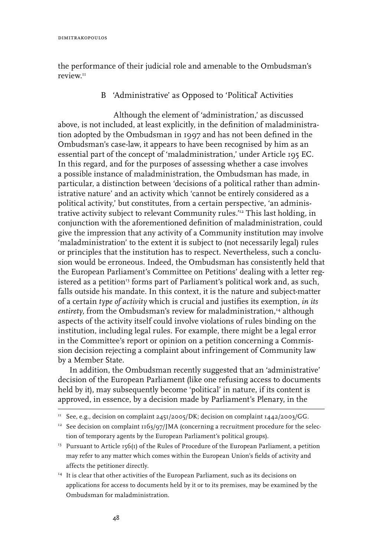the performance of their judicial role and amenable to the Ombudsman's review<sup>11</sup>

# B 'Administrative' as Opposed to 'Political' Activities

Although the element of 'administration,' as discussed above, is not included, at least explicitly, in the definition of maladministration adopted by the Ombudsman in 1997 and has not been defined in the Ombudsman's case-law, it appears to have been recognised by him as an essential part of the concept of 'maladministration,' under Article 195 EC. In this regard, and for the purposes of assessing whether a case involves a possible instance of maladministration, the Ombudsman has made, in particular, a distinction between 'decisions of a political rather than administrative nature' and an activity which 'cannot be entirely considered as a political activity,' but constitutes, from a certain perspective, 'an administrative activity subject to relevant Community rules.'12 This last holding, in conjunction with the aforementioned definition of maladministration, could give the impression that any activity of a Community institution may involve 'maladministration' to the extent it is subject to (not necessarily legal) rules or principles that the institution has to respect. Nevertheless, such a conclusion would be erroneous. Indeed, the Ombudsman has consistently held that the European Parliament's Committee on Petitions' dealing with a letter registered as a petition<sup>13</sup> forms part of Parliament's political work and, as such, falls outside his mandate. In this context, it is the nature and subject-matter of a certain *type of activity* which is crucial and justifies its exemption, *in its*  entirety, from the Ombudsman's review for maladministration,14 although aspects of the activity itself could involve violations of rules binding on the institution, including legal rules. For example, there might be a legal error in the Committee's report or opinion on a petition concerning a Commission decision rejecting a complaint about infringement of Community law by a Member State.

In addition, the Ombudsman recently suggested that an 'administrative' decision of the European Parliament (like one refusing access to documents held by it), may subsequently become 'political' in nature, if its content is approved, in essence, by a decision made by Parliament's Plenary, in the

<sup>14</sup> It is clear that other activities of the European Parliament, such as its decisions on applications for access to documents held by it or to its premises, may be examined by the Ombudsman for maladministration.

 $11$  See, e.g., decision on complaint 2451/2005/DK; decision on complaint 1442/2003/GG.

<sup>&</sup>lt;sup>12</sup> See decision on complaint  $1163/97$ /JMA (concerning a recruitment procedure for the selection of temporary agents by the European Parliament's political groups).

<sup>&</sup>lt;sup>13</sup> Pursuant to Article 156(1) of the Rules of Procedure of the European Parliament, a petition may refer to any matter which comes within the European Union's fields of activity and affects the petitioner directly.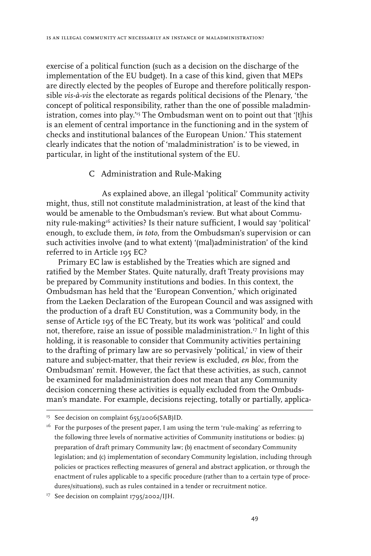exercise of a political function (such as a decision on the discharge of the implementation of the EU budget). In a case of this kind, given that MEPs are directly elected by the peoples of Europe and therefore politically responsible *vis-à-vis* the electorate as regards political decisions of the Plenary, 'the concept of political responsibility, rather than the one of possible maladministration, comes into play.'15 The Ombudsman went on to point out that '[t]his is an element of central importance in the functioning and in the system of checks and institutional balances of the European Union.' This statement clearly indicates that the notion of 'maladministration' is to be viewed, in particular, in light of the institutional system of the EU.

#### C Administration and Rule-Making

As explained above, an illegal 'political' Community activity might, thus, still not constitute maladministration, at least of the kind that would be amenable to the Ombudsman's review. But what about Community rule-making16 activities? Is their nature sufficient, I would say 'political' enough, to exclude them, *in toto*, from the Ombudsman's supervision or can such activities involve (and to what extent) '(mal)administration' of the kind referred to in Article 195 EC?

Primary EC law is established by the Treaties which are signed and ratified by the Member States. Quite naturally, draft Treaty provisions may be prepared by Community institutions and bodies. In this context, the Ombudsman has held that the 'European Convention,' which originated from the Laeken Declaration of the European Council and was assigned with the production of a draft EU Constitution, was a Community body, in the sense of Article 195 of the EC Treaty, but its work was 'political' and could not, therefore, raise an issue of possible maladministration.17 In light of this holding, it is reasonable to consider that Community activities pertaining to the drafting of primary law are so pervasively 'political,' in view of their nature and subject-matter, that their review is excluded, *en bloc*, from the Ombudsman' remit. However, the fact that these activities, as such, cannot be examined for maladministration does not mean that any Community decision concerning these activities is equally excluded from the Ombudsman's mandate. For example, decisions rejecting, totally or partially, applica-

<sup>&</sup>lt;sup>15</sup> See decision on complaint 655/2006(SAB)ID.

 $16$  For the purposes of the present paper, I am using the term 'rule-making' as referring to the following three levels of normative activities of Community institutions or bodies: (a) preparation of draft primary Community law; (b) enactment of secondary Community legislation; and (c) implementation of secondary Community legislation, including through policies or practices reflecting measures of general and abstract application, or through the enactment of rules applicable to a specific procedure (rather than to a certain type of procedures/situations), such as rules contained in a tender or recruitment notice.

<sup>&</sup>lt;sup>17</sup> See decision on complaint 1795/2002/IJH.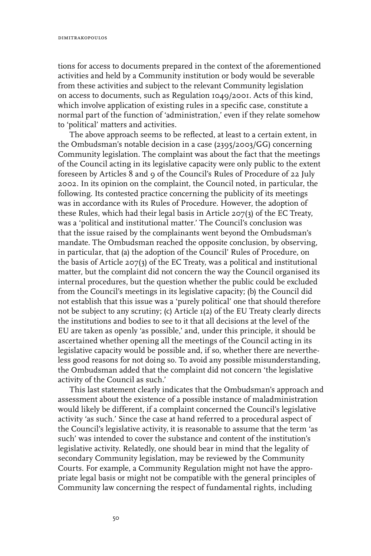tions for access to documents prepared in the context of the aforementioned activities and held by a Community institution or body would be severable from these activities and subject to the relevant Community legislation on access to documents, such as Regulation 1049/2001. Acts of this kind, which involve application of existing rules in a specific case, constitute a normal part of the function of 'administration,' even if they relate somehow to 'political' matters and activities.

The above approach seems to be reflected, at least to a certain extent, in the Ombudsman's notable decision in a case (2395/2003/GG) concerning Community legislation. The complaint was about the fact that the meetings of the Council acting in its legislative capacity were only public to the extent foreseen by Articles 8 and 9 of the Council's Rules of Procedure of 22 July 2002. In its opinion on the complaint, the Council noted, in particular, the following. Its contested practice concerning the publicity of its meetings was in accordance with its Rules of Procedure. However, the adoption of these Rules, which had their legal basis in Article 207(3) of the EC Treaty, was a 'political and institutional matter.' The Council's conclusion was that the issue raised by the complainants went beyond the Ombudsman's mandate. The Ombudsman reached the opposite conclusion, by observing, in particular, that (a) the adoption of the Council' Rules of Procedure, on the basis of Article 207(3) of the EC Treaty, was a political and institutional matter, but the complaint did not concern the way the Council organised its internal procedures, but the question whether the public could be excluded from the Council's meetings in its legislative capacity; (b) the Council did not establish that this issue was a 'purely political' one that should therefore not be subject to any scrutiny; (c) Article 1(2) of the EU Treaty clearly directs the institutions and bodies to see to it that all decisions at the level of the EU are taken as openly 'as possible,' and, under this principle, it should be ascertained whether opening all the meetings of the Council acting in its legislative capacity would be possible and, if so, whether there are nevertheless good reasons for not doing so. To avoid any possible misunderstanding, the Ombudsman added that the complaint did not concern 'the legislative activity of the Council as such.'

This last statement clearly indicates that the Ombudsman's approach and assessment about the existence of a possible instance of maladministration would likely be different, if a complaint concerned the Council's legislative activity 'as such.' Since the case at hand referred to a procedural aspect of the Council's legislative activity, it is reasonable to assume that the term 'as such' was intended to cover the substance and content of the institution's legislative activity. Relatedly, one should bear in mind that the legality of secondary Community legislation, may be reviewed by the Community Courts. For example, a Community Regulation might not have the appropriate legal basis or might not be compatible with the general principles of Community law concerning the respect of fundamental rights, including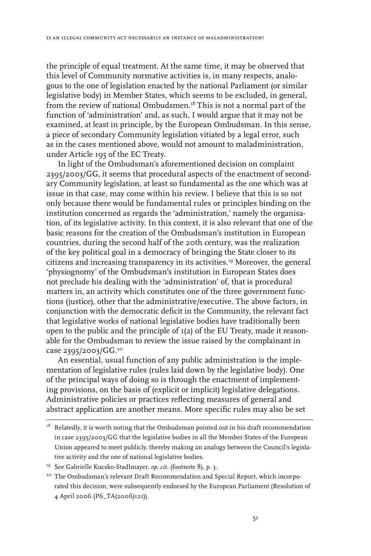the principle of equal treatment. At the same time, it may be observed that this level of Community normative activities is, in many respects, analogous to the one of legislation enacted by the national Parliament (or similar legislative body) in Member States, which seems to be excluded, in general, from the review of national Ombudsmen.18 This is not a normal part of the function of 'administration' and, as such, I would argue that it may not be examined, at least in principle, by the European Ombudsman. In this sense, a piece of secondary Community legislation vitiated by a legal error, such as in the cases mentioned above, would not amount to maladministration, under Article 195 of the EC Treaty.

In light of the Ombudsman's aforementioned decision on complaint 2395/2003/GG, it seems that procedural aspects of the enactment of secondary Community legislation, at least so fundamental as the one which was at issue in that case, may come within his review. I believe that this is so not only because there would be fundamental rules or principles binding on the institution concerned as regards the 'administration,' namely the organisation, of its legislative activity. In this context, it is also relevant that one of the basic reasons for the creation of the Ombudsman's institution in European countries, during the second half of the 20th century, was the realization of the key political goal in a democracy of bringing the State closer to its citizens and increasing transparency in its activities.19 Moreover, the general 'physiognomy' of the Ombudsman's institution in European States does not preclude his dealing with the 'administration' of, that is procedural matters in, an activity which constitutes one of the three government functions (justice), other that the administrative/executive. The above factors, in conjunction with the democratic deficit in the Community, the relevant fact that legislative works of national legislative bodies have traditionally been open to the public and the principle of  $I(2)$  of the EU Treaty, made it reasonable for the Ombudsman to review the issue raised by the complainant in case 2395/2003/GG.20

An essential, usual function of any public administration is the implementation of legislative rules (rules laid down by the legislative body). One of the principal ways of doing so is through the enactment of implementing provisions, on the basis of (explicit or implicit) legislative delegations. Administrative policies or practices reflecting measures of general and abstract application are another means. More specific rules may also be set

 $18$  Relatedly, it is worth noting that the Ombudsman pointed out in his draft recommendation in case 2395/2003/GG that the legislative bodies in all the Member States of the European Union appeared to meet publicly, thereby making an analogy between the Council's legislative activity and the one of national legislative bodies.

<sup>19</sup> See Gabrielle Kucsko-Stadlmayer, *op. cit*. (footnote 8), p. 3.

<sup>&</sup>lt;sup>20</sup> The Ombudsman's relevant Draft Recommendation and Special Report, which incorporated this decision, were subsequently endorsed by the European Parliament (Resolution of 4 April 2006 (P6\_TA(2006)121)).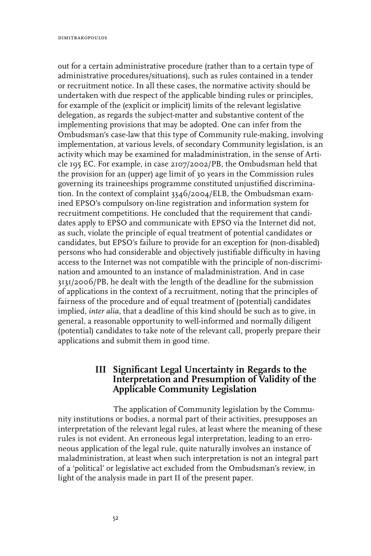out for a certain administrative procedure (rather than to a certain type of administrative procedures/situations), such as rules contained in a tender or recruitment notice. In all these cases, the normative activity should be undertaken with due respect of the applicable binding rules or principles, for example of the (explicit or implicit) limits of the relevant legislative delegation, as regards the subject-matter and substantive content of the implementing provisions that may be adopted. One can infer from the Ombudsman's case-law that this type of Community rule-making, involving implementation, at various levels, of secondary Community legislation, is an activity which may be examined for maladministration, in the sense of Article 195 EC. For example, in case 2107/2002/PB, the Ombudsman held that the provision for an (upper) age limit of 30 years in the Commission rules governing its traineeships programme constituted unjustified discrimination. In the context of complaint 3346/2004/ELB, the Ombudsman examined EPSO's compulsory on-line registration and information system for recruitment competitions. He concluded that the requirement that candidates apply to EPSO and communicate with EPSO via the Internet did not, as such, violate the principle of equal treatment of potential candidates or candidates, but EPSO's failure to provide for an exception for (non-disabled) persons who had considerable and objectively justifiable difficulty in having access to the Internet was not compatible with the principle of non-discrimination and amounted to an instance of maladministration. And in case 3131/2006/PB, he dealt with the length of the deadline for the submission of applications in the context of a recruitment, noting that the principles of fairness of the procedure and of equal treatment of (potential) candidates implied, *inter alia*, that a deadline of this kind should be such as to give, in general, a reasonable opportunity to well-informed and normally diligent (potential) candidates to take note of the relevant call, properly prepare their applications and submit them in good time.

# **III Significant Legal Uncertainty in Regards to the Interpretation and Presumption of Validity of the Applicable Community Legislation**

The application of Community legislation by the Community institutions or bodies, a normal part of their activities, presupposes an interpretation of the relevant legal rules, at least where the meaning of these rules is not evident. An erroneous legal interpretation, leading to an erroneous application of the legal rule, quite naturally involves an instance of maladministration, at least when such interpretation is not an integral part of a 'political' or legislative act excluded from the Ombudsman's review, in light of the analysis made in part II of the present paper.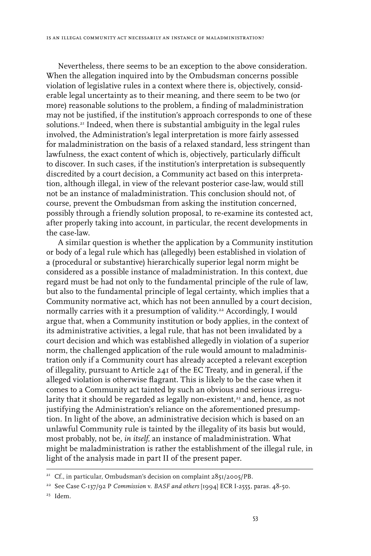Nevertheless, there seems to be an exception to the above consideration. When the allegation inquired into by the Ombudsman concerns possible violation of legislative rules in a context where there is, objectively, considerable legal uncertainty as to their meaning, and there seem to be two (or more) reasonable solutions to the problem, a finding of maladministration may not be justified, if the institution's approach corresponds to one of these solutions.<sup>21</sup> Indeed, when there is substantial ambiguity in the legal rules involved, the Administration's legal interpretation is more fairly assessed for maladministration on the basis of a relaxed standard, less stringent than lawfulness, the exact content of which is, objectively, particularly difficult to discover. In such cases, if the institution's interpretation is subsequently discredited by a court decision, a Community act based on this interpretation, although illegal, in view of the relevant posterior case-law, would still not be an instance of maladministration. This conclusion should not, of course, prevent the Ombudsman from asking the institution concerned, possibly through a friendly solution proposal, to re-examine its contested act, after properly taking into account, in particular, the recent developments in the case-law.

A similar question is whether the application by a Community institution or body of a legal rule which has (allegedly) been established in violation of a (procedural or substantive) hierarchically superior legal norm might be considered as a possible instance of maladministration. In this context, due regard must be had not only to the fundamental principle of the rule of law, but also to the fundamental principle of legal certainty, which implies that a Community normative act, which has not been annulled by a court decision, normally carries with it a presumption of validity.<sup>22</sup> Accordingly, I would argue that, when a Community institution or body applies, in the context of its administrative activities, a legal rule, that has not been invalidated by a court decision and which was established allegedly in violation of a superior norm, the challenged application of the rule would amount to maladministration only if a Community court has already accepted a relevant exception of illegality, pursuant to Article 241 of the EC Treaty, and in general, if the alleged violation is otherwise flagrant. This is likely to be the case when it comes to a Community act tainted by such an obvious and serious irregularity that it should be regarded as legally non-existent,<sup>23</sup> and, hence, as not justifying the Administration's reliance on the aforementioned presumption. In light of the above, an administrative decision which is based on an unlawful Community rule is tainted by the illegality of its basis but would, most probably, not be, *in itself*, an instance of maladministration. What might be maladministration is rather the establishment of the illegal rule, in light of the analysis made in part II of the present paper.

<sup>&</sup>lt;sup>21</sup> Cf., in particular, Ombudsman's decision on complaint  $285I/2005/PB$ .

<sup>22</sup> See Case C-137/92 P *Commission* v. *BASF and others* [1994] ECR I-2555, paras. 48-50.

<sup>23</sup> Idem.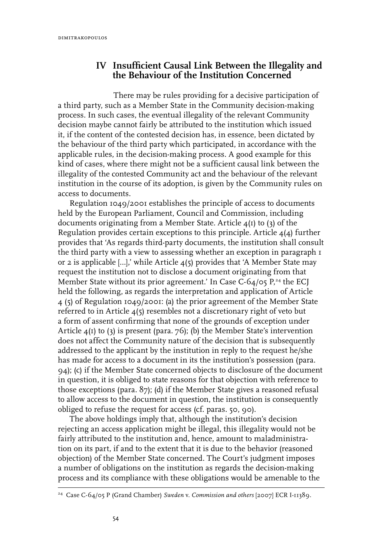## **IV Insufficient Causal Link Between the Illegality and the Behaviour of the Institution Concerned**

There may be rules providing for a decisive participation of a third party, such as a Member State in the Community decision-making process. In such cases, the eventual illegality of the relevant Community decision maybe cannot fairly be attributed to the institution which issued it, if the content of the contested decision has, in essence, been dictated by the behaviour of the third party which participated, in accordance with the applicable rules, in the decision-making process. A good example for this kind of cases, where there might not be a sufficient causal link between the illegality of the contested Community act and the behaviour of the relevant institution in the course of its adoption, is given by the Community rules on access to documents.

Regulation 1049/2001 establishes the principle of access to documents held by the European Parliament, Council and Commission, including documents originating from a Member State. Article  $4(I)$  to  $(3)$  of the Regulation provides certain exceptions to this principle. Article 4(4) further provides that 'As regards third-party documents, the institution shall consult the third party with a view to assessing whether an exception in paragraph 1 or 2 is applicable […],' while Article 4(5) provides that 'A Member State may request the institution not to disclose a document originating from that Member State without its prior agreement.' In Case C-64/05  $P^{24}$ , the ECJ held the following, as regards the interpretation and application of Article 4 (5) of Regulation 1049/2001: (a) the prior agreement of the Member State referred to in Article 4(5) resembles not a discretionary right of veto but a form of assent confirming that none of the grounds of exception under Article  $4(1)$  to (3) is present (para. 76); (b) the Member State's intervention does not affect the Community nature of the decision that is subsequently addressed to the applicant by the institution in reply to the request he/she has made for access to a document in its the institution's possession (para. 94); (c) if the Member State concerned objects to disclosure of the document in question, it is obliged to state reasons for that objection with reference to those exceptions (para. 87); (d) if the Member State gives a reasoned refusal to allow access to the document in question, the institution is consequently obliged to refuse the request for access (cf. paras. 50, 90).

The above holdings imply that, although the institution's decision rejecting an access application might be illegal, this illegality would not be fairly attributed to the institution and, hence, amount to maladministration on its part, if and to the extent that it is due to the behavior (reasoned objection) of the Member State concerned. The Court's judgment imposes a number of obligations on the institution as regards the decision-making process and its compliance with these obligations would be amenable to the

<sup>24</sup> Case C-64/05 P (Grand Chamber) *Sweden* v. *Commission and others* [2007] ECR I-11389.